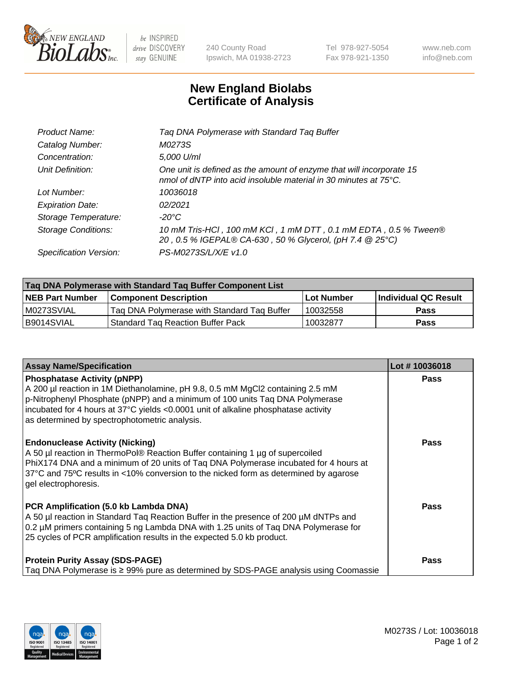

 $be$  INSPIRED drive DISCOVERY stay GENUINE

240 County Road Ipswich, MA 01938-2723 Tel 978-927-5054 Fax 978-921-1350 www.neb.com info@neb.com

## **New England Biolabs Certificate of Analysis**

| Product Name:              | Tag DNA Polymerase with Standard Tag Buffer                                                                                              |
|----------------------------|------------------------------------------------------------------------------------------------------------------------------------------|
| Catalog Number:            | M0273S                                                                                                                                   |
| Concentration:             | 5,000 U/ml                                                                                                                               |
| Unit Definition:           | One unit is defined as the amount of enzyme that will incorporate 15<br>nmol of dNTP into acid insoluble material in 30 minutes at 75°C. |
| Lot Number:                | 10036018                                                                                                                                 |
| <b>Expiration Date:</b>    | 02/2021                                                                                                                                  |
| Storage Temperature:       | $-20^{\circ}$ C                                                                                                                          |
| <b>Storage Conditions:</b> | 10 mM Tris-HCl, 100 mM KCl, 1 mM DTT, 0.1 mM EDTA, 0.5 % Tween®<br>20, 0.5 % IGEPAL® CA-630, 50 % Glycerol, (pH 7.4 @ 25°C)              |
| Specification Version:     | PS-M0273S/L/X/E v1.0                                                                                                                     |
|                            |                                                                                                                                          |

| Tag DNA Polymerase with Standard Tag Buffer Component List |                                             |                   |                      |  |
|------------------------------------------------------------|---------------------------------------------|-------------------|----------------------|--|
| <b>NEB Part Number</b>                                     | <b>Component Description</b>                | <b>Lot Number</b> | Individual QC Result |  |
| M0273SVIAL                                                 | Tag DNA Polymerase with Standard Tag Buffer | 10032558          | <b>Pass</b>          |  |
| B9014SVIAL                                                 | <b>Standard Tag Reaction Buffer Pack</b>    | 10032877          | <b>Pass</b>          |  |

| <b>Assay Name/Specification</b>                                                                                                                                                                                                                                                                                                             | Lot #10036018 |
|---------------------------------------------------------------------------------------------------------------------------------------------------------------------------------------------------------------------------------------------------------------------------------------------------------------------------------------------|---------------|
| <b>Phosphatase Activity (pNPP)</b><br>A 200 µl reaction in 1M Diethanolamine, pH 9.8, 0.5 mM MgCl2 containing 2.5 mM<br>p-Nitrophenyl Phosphate (pNPP) and a minimum of 100 units Taq DNA Polymerase<br>incubated for 4 hours at 37°C yields <0.0001 unit of alkaline phosphatase activity<br>as determined by spectrophotometric analysis. | <b>Pass</b>   |
| <b>Endonuclease Activity (Nicking)</b><br>A 50 µl reaction in ThermoPol® Reaction Buffer containing 1 µg of supercoiled<br>PhiX174 DNA and a minimum of 20 units of Taq DNA Polymerase incubated for 4 hours at<br>37°C and 75°C results in <10% conversion to the nicked form as determined by agarose<br>gel electrophoresis.             | <b>Pass</b>   |
| PCR Amplification (5.0 kb Lambda DNA)<br>A 50 µl reaction in Standard Taq Reaction Buffer in the presence of 200 µM dNTPs and<br>0.2 µM primers containing 5 ng Lambda DNA with 1.25 units of Taq DNA Polymerase for<br>25 cycles of PCR amplification results in the expected 5.0 kb product.                                              | <b>Pass</b>   |
| <b>Protein Purity Assay (SDS-PAGE)</b><br>Taq DNA Polymerase is ≥ 99% pure as determined by SDS-PAGE analysis using Coomassie                                                                                                                                                                                                               | <b>Pass</b>   |